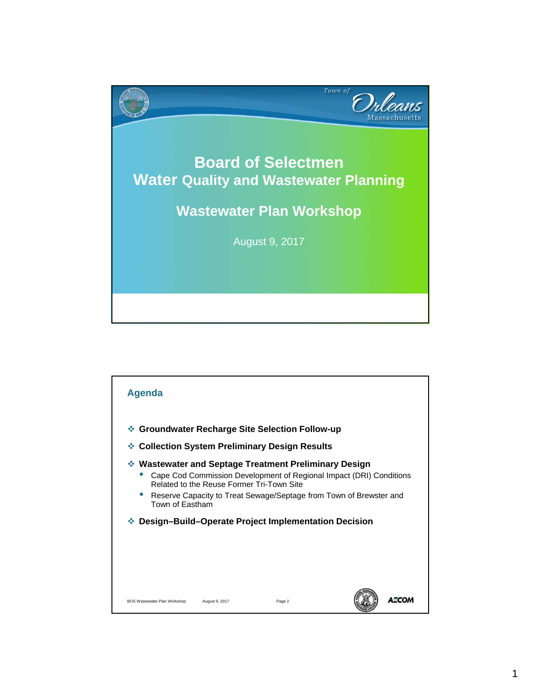

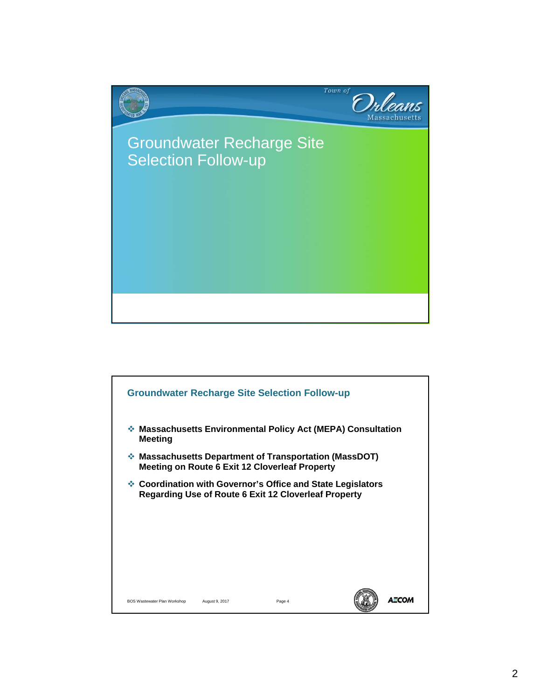

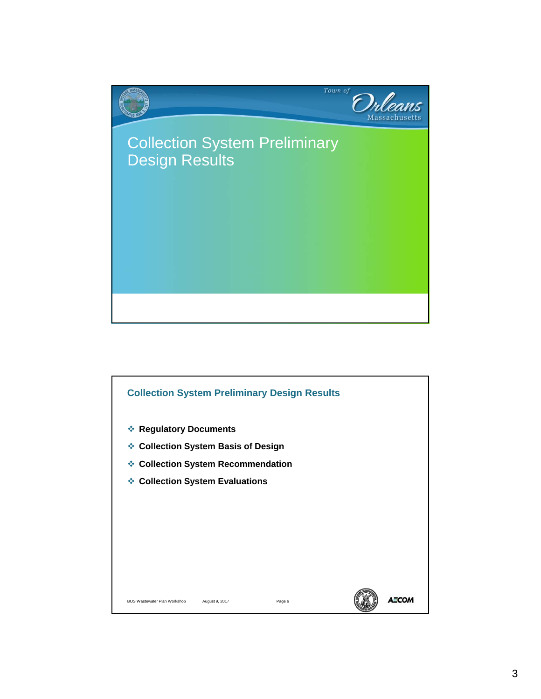

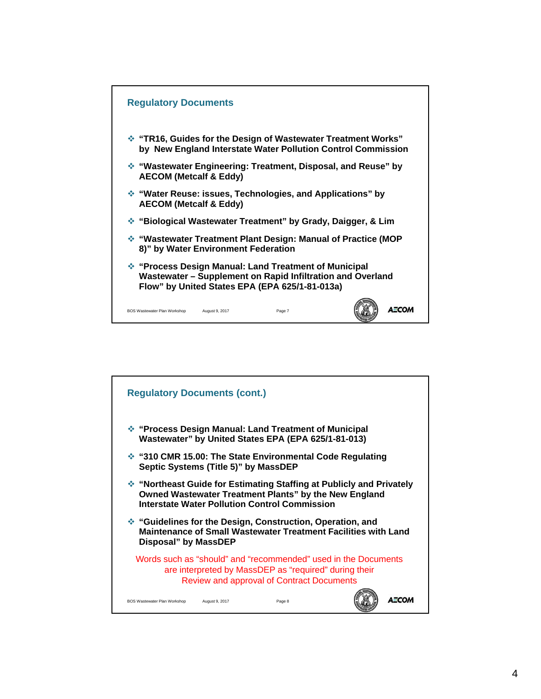

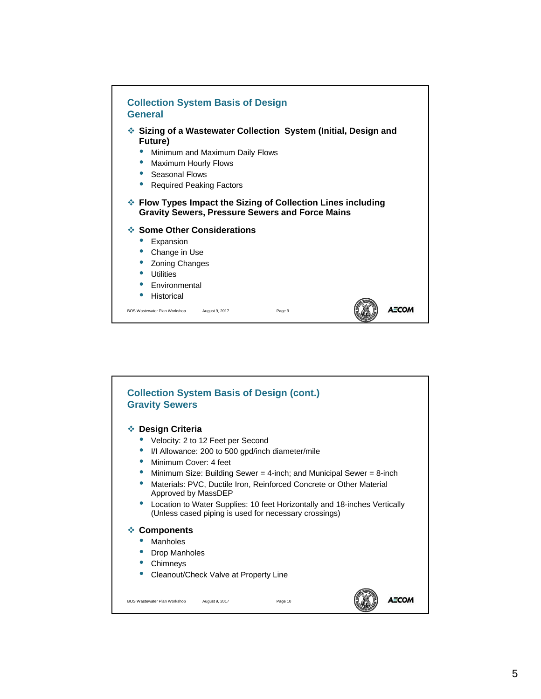

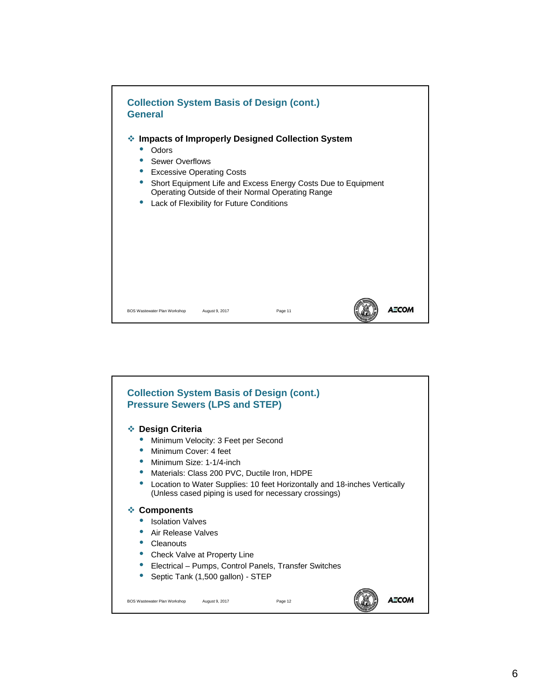

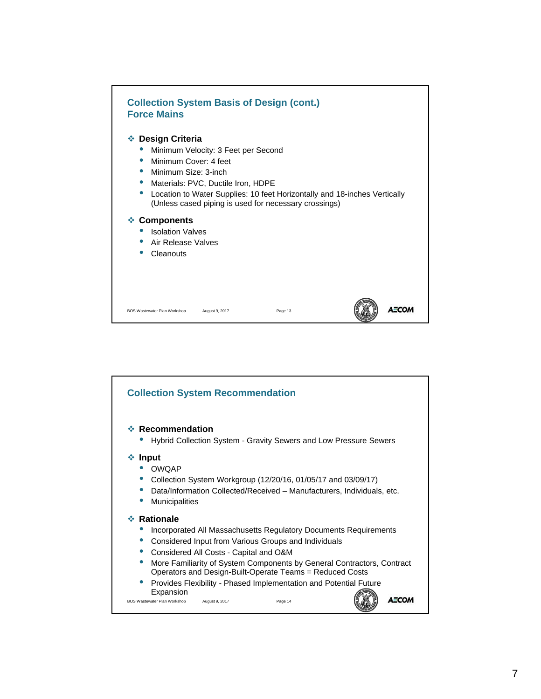

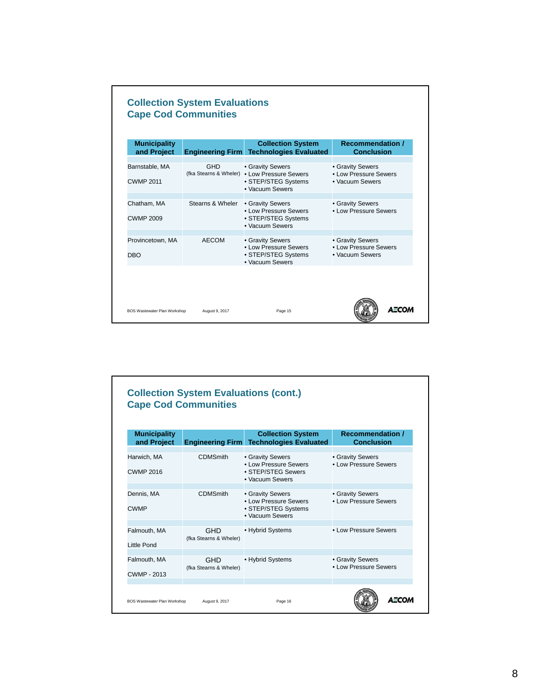| <b>Municipality</b><br>and Project |                  | <b>Collection System</b><br><b>Engineering Firm Technologies Evaluated</b>                                 | <b>Recommendation /</b><br><b>Conclusion</b>                 |
|------------------------------------|------------------|------------------------------------------------------------------------------------------------------------|--------------------------------------------------------------|
| Barnstable, MA<br><b>CWMP 2011</b> | <b>GHD</b>       | • Gravity Sewers<br>(fka Stearns & Wheler) . Low Pressure Sewers<br>• STEP/STEG Systems<br>• Vacuum Sewers | • Gravity Sewers<br>• Low Pressure Sewers<br>• Vacuum Sewers |
| Chatham, MA<br><b>CWMP 2009</b>    | Stearns & Wheler | • Gravity Sewers<br>• Low Pressure Sewers<br>• STEP/STEG Systems<br>• Vacuum Sewers                        | • Gravity Sewers<br>. I ow Pressure Sewers                   |
| Provincetown, MA<br><b>DBO</b>     | AECOM            | • Gravity Sewers<br>• Low Pressure Sewers<br>• STEP/STEG Systems<br>• Vacuum Sewers                        | • Gravity Sewers<br>• Low Pressure Sewers<br>• Vacuum Sewers |

| <b>Municipality</b>             |                                      | <b>Collection System</b>                                                            | <b>Recommendation /</b>                    |
|---------------------------------|--------------------------------------|-------------------------------------------------------------------------------------|--------------------------------------------|
| and Project                     |                                      | <b>Engineering Firm Technologies Evaluated</b>                                      | <b>Conclusion</b>                          |
| Harwich, MA<br><b>CWMP 2016</b> | <b>CDMSmith</b>                      | • Gravity Sewers<br>• Low Pressure Sewers<br>• STEP/STEG Sewers<br>• Vacuum Sewers  | • Gravity Sewers<br>. I ow Pressure Sewers |
| Dennis, MA<br><b>CWMP</b>       | <b>CDMSmith</b>                      | • Gravity Sewers<br>• Low Pressure Sewers<br>• STEP/STEG Systems<br>• Vacuum Sewers | • Gravity Sewers<br>• Low Pressure Sewers  |
| Falmouth, MA<br>Little Pond     | GHD<br>(fka Stearns & Wheler)        | • Hybrid Systems                                                                    | • Low Pressure Sewers                      |
| Falmouth, MA<br>CWMP - 2013     | <b>GHD</b><br>(fka Stearns & Wheler) | • Hybrid Systems                                                                    | • Gravity Sewers<br>. I ow Pressure Sewers |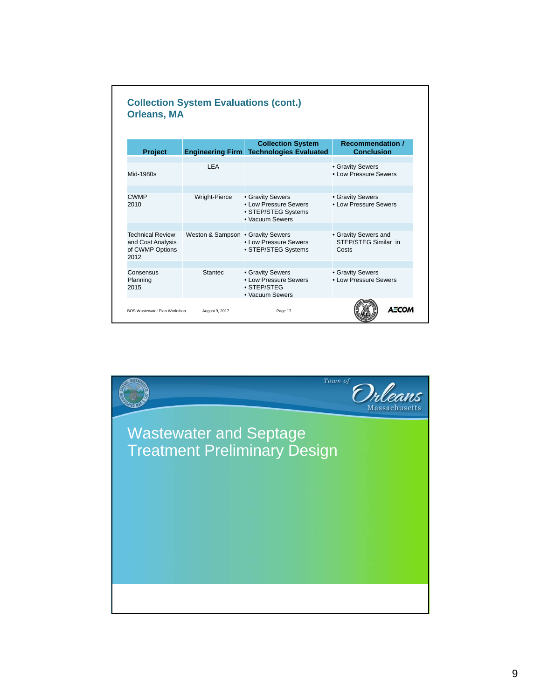|                      | <b>Collection System</b>                                                            | <b>Recommendation /</b><br><b>Conclusion</b>                                        |
|----------------------|-------------------------------------------------------------------------------------|-------------------------------------------------------------------------------------|
| I FA                 |                                                                                     | • Gravity Sewers<br>. I ow Pressure Sewers                                          |
| <b>Wright-Pierce</b> | • Gravity Sewers<br>• Low Pressure Sewers<br>• STEP/STEG Systems<br>• Vacuum Sewers | • Gravity Sewers<br>. I ow Pressure Sewers                                          |
|                      | . I ow Pressure Sewers<br>• STEP/STEG Systems                                       | • Gravity Sewers and<br>STEP/STEG Similar in<br>Costs                               |
| Stantec              | • Gravity Sewers<br>• Low Pressure Sewers<br>· STEP/STEG<br>• Vacuum Sewers         | • Gravity Sewers<br>• Low Pressure Sewers                                           |
|                      |                                                                                     | <b>Engineering Firm Technologies Evaluated</b><br>Weston & Sampson . Gravity Sewers |

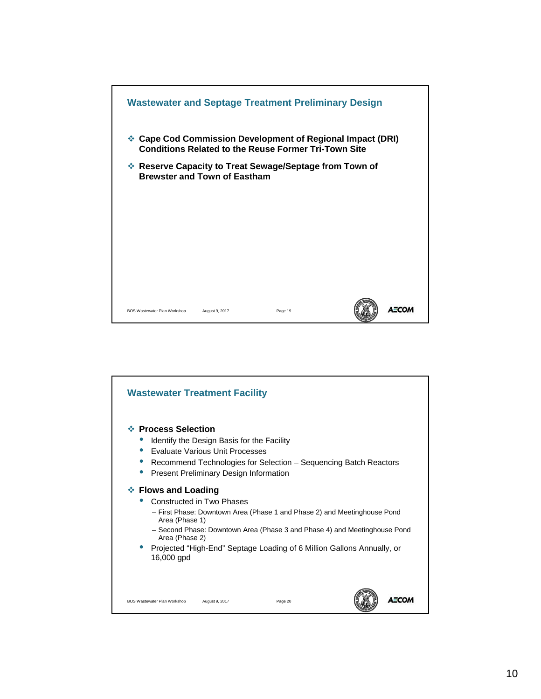

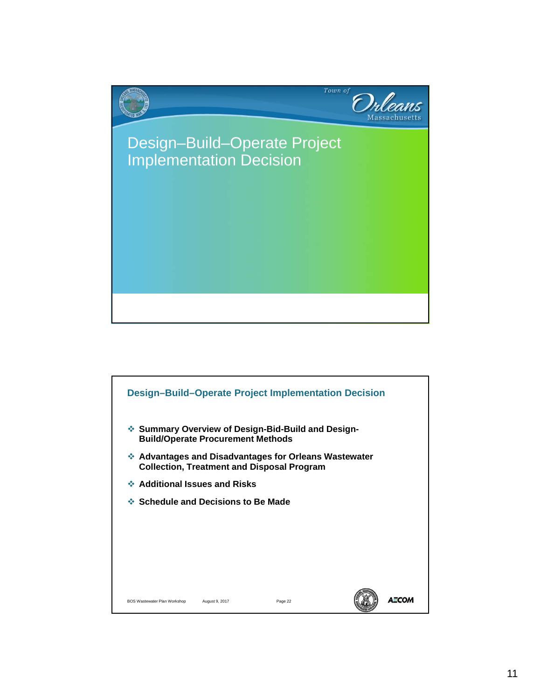

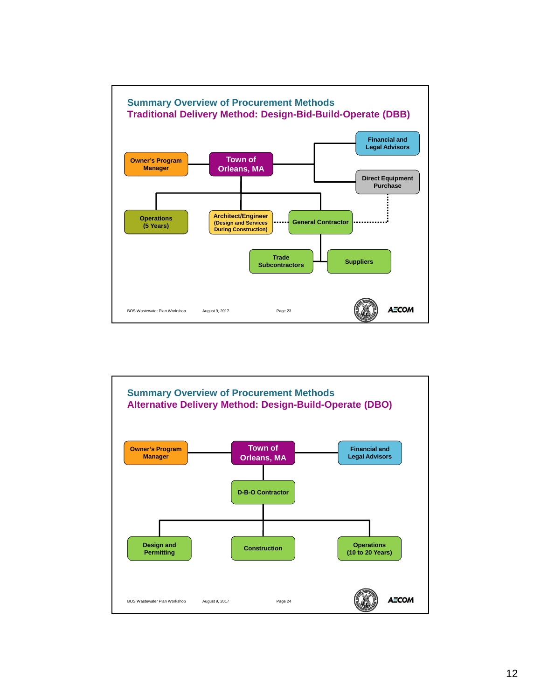

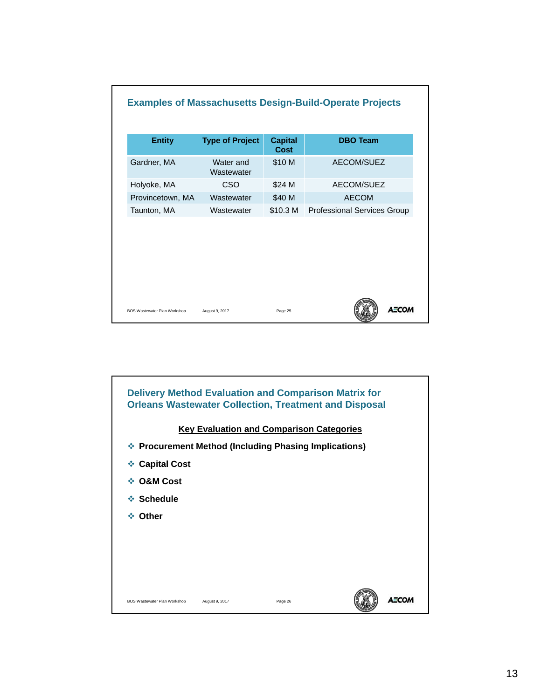| <b>Professional Services Group</b> |
|------------------------------------|
|                                    |
|                                    |

![](_page_12_Figure_1.jpeg)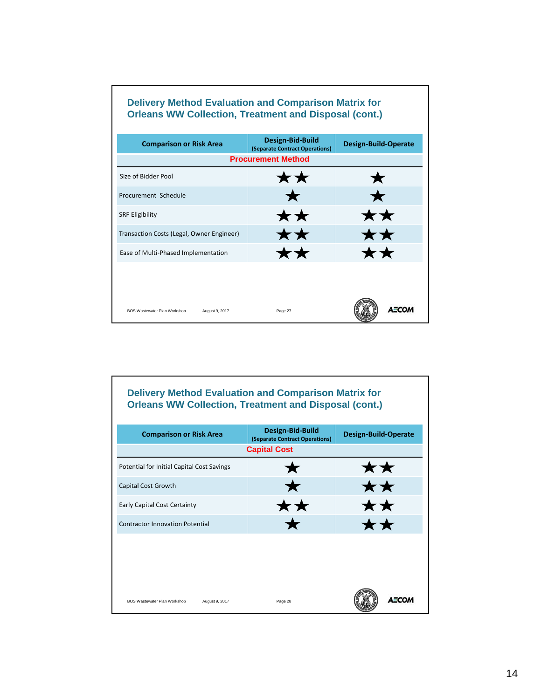## **Delivery Method Evaluation and Comparison Matrix for Orleans WW Collection, Treatment and Disposal (cont.)**

| <b>Comparison or Risk Area</b>                 | Design-Bid-Build<br>(Separate Contract Operations) | <b>Design-Build-Operate</b> |
|------------------------------------------------|----------------------------------------------------|-----------------------------|
|                                                | <b>Procurement Method</b>                          |                             |
| Size of Bidder Pool                            | **                                                 |                             |
| Procurement Schedule                           | $\bigstar$                                         |                             |
| <b>SRF Eligibility</b>                         | **                                                 | **                          |
| Transaction Costs (Legal, Owner Engineer)      | $\bigstar\bigstar$                                 | $\bigstar\bigstar$          |
| Ease of Multi-Phased Implementation            | **                                                 | $\bigstar\bigstar$          |
|                                                |                                                    |                             |
|                                                |                                                    |                             |
| BOS Wastewater Plan Workshop<br>August 9, 2017 | Page 27                                            | A≣CO                        |

## **Delivery Method Evaluation and Comparison Matrix for Orleans WW Collection, Treatment and Disposal (cont.)**

| <b>Comparison or Risk Area</b>                 | Design-Bid-Build<br>(Separate Contract Operations) | <b>Design-Build-Operate</b> |
|------------------------------------------------|----------------------------------------------------|-----------------------------|
|                                                | <b>Capital Cost</b>                                |                             |
| Potential for Initial Capital Cost Savings     |                                                    | ★★                          |
| Capital Cost Growth                            |                                                    | ★★                          |
| <b>Early Capital Cost Certainty</b>            | **                                                 | <b>**</b>                   |
| <b>Contractor Innovation Potential</b>         |                                                    | ★★                          |
|                                                |                                                    |                             |
|                                                |                                                    |                             |
|                                                |                                                    |                             |
| BOS Wastewater Plan Workshop<br>August 9, 2017 | Page 28                                            | <b>AECO</b>                 |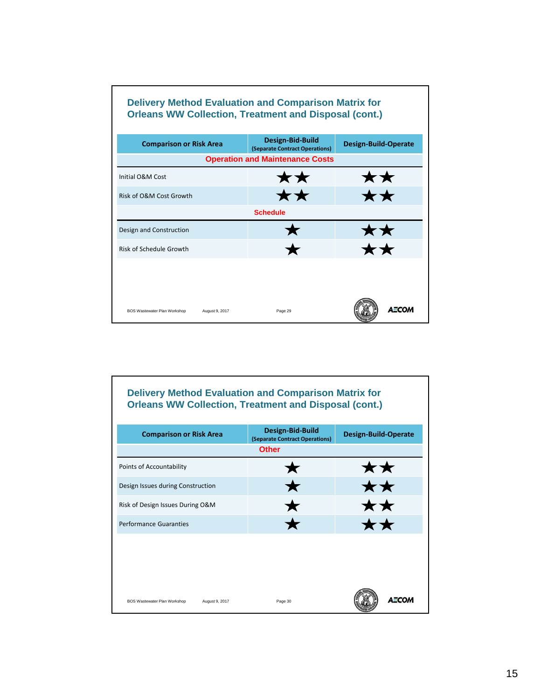![](_page_14_Figure_0.jpeg)

| NSK UT OGIVE CUST OF OWNER                     | <b>A A</b>           | X X          |
|------------------------------------------------|----------------------|--------------|
|                                                | <b>Schedule</b>      |              |
| Design and Construction                        |                      | ★★           |
| <b>Risk of Schedule Growth</b>                 | $\blacktriangledown$ | ★★           |
|                                                |                      |              |
|                                                |                      |              |
| BOS Wastewater Plan Workshop<br>August 9, 2017 | Page 29              | <b>AECOM</b> |

## **Delivery Method Evaluation and Comparison Matrix for Orleans WW Collection, Treatment and Disposal (cont.)**

| <b>Comparison or Risk Area</b>                 | Design-Bid-Build<br>(Separate Contract Operations) | <b>Design-Build-Operate</b> |
|------------------------------------------------|----------------------------------------------------|-----------------------------|
|                                                | <b>Other</b>                                       |                             |
| Points of Accountability                       |                                                    | ★★                          |
| Design Issues during Construction              |                                                    | **                          |
| Risk of Design Issues During O&M               |                                                    | <b>K X</b>                  |
| <b>Performance Guaranties</b>                  |                                                    |                             |
|                                                |                                                    |                             |
|                                                |                                                    |                             |
|                                                |                                                    |                             |
| BOS Wastewater Plan Workshop<br>August 9, 2017 | Page 30                                            | <b>AECO</b>                 |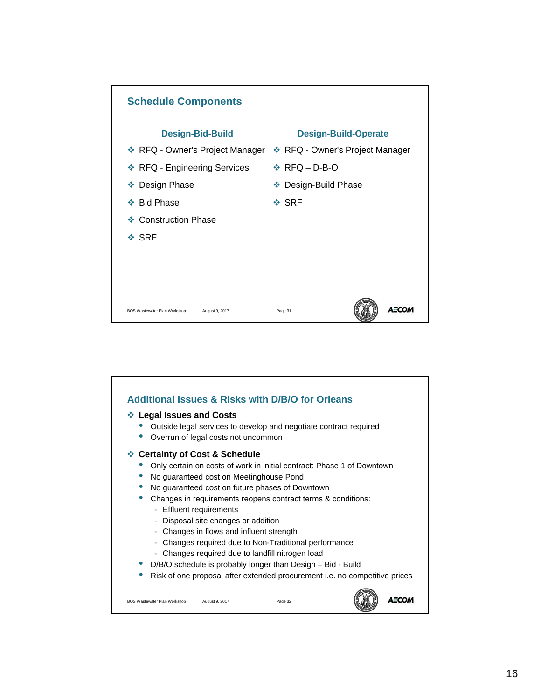![](_page_15_Figure_0.jpeg)

![](_page_15_Figure_1.jpeg)